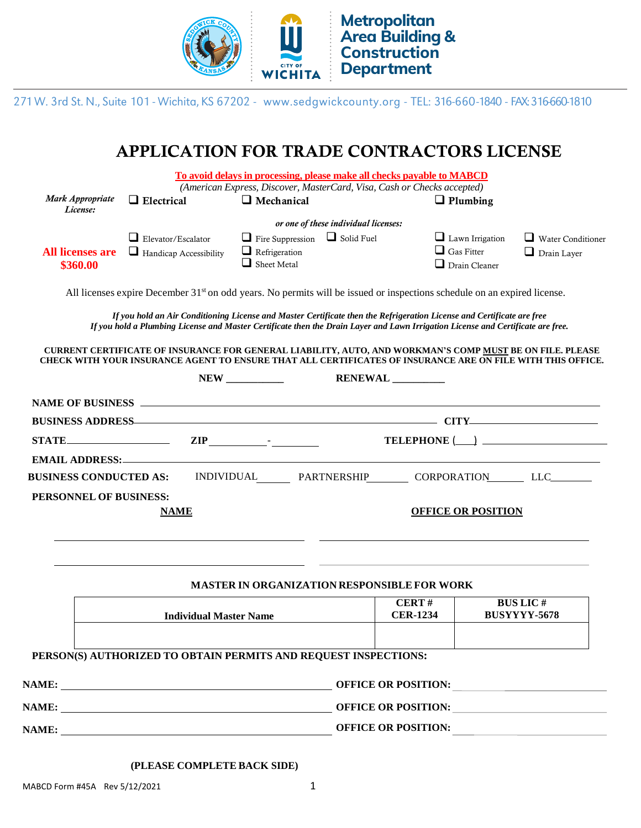

271 W. 3rd St. N., Suite 101 - Wichita, KS 67202 - www.sedgwickcounty.org - TEL: 316-660-1840 - FAX: 316-660-1810

## APPLICATION FOR TRADE CONTRACTORS LICENSE

|                                       |                                      | To avoid delays in processing, please make all checks payable to MABCD<br>(American Express, Discover, MasterCard, Visa, Cash or Checks accepted)                                                                                                          |                           |                                           |                          |  |  |  |  |
|---------------------------------------|--------------------------------------|------------------------------------------------------------------------------------------------------------------------------------------------------------------------------------------------------------------------------------------------------------|---------------------------|-------------------------------------------|--------------------------|--|--|--|--|
| Mark Appropriate<br>License:          | $\Box$ Electrical                    | $\Box$ Mechanical                                                                                                                                                                                                                                          |                           | $\Box$ Plumbing                           |                          |  |  |  |  |
|                                       | or one of these individual licenses: |                                                                                                                                                                                                                                                            |                           |                                           |                          |  |  |  |  |
|                                       | $\Box$ Elevator/Escalator            | $\Box$ Fire Suppression $\Box$ Solid Fuel                                                                                                                                                                                                                  |                           | $\Box$ Lawn Irrigation                    | $\Box$ Water Conditioner |  |  |  |  |
| <b>All licenses are</b><br>\$360.00   | $\Box$ Handicap Accessibility        | $\Box$ Refrigeration<br>$\Box$ Sheet Metal                                                                                                                                                                                                                 |                           | $\Box$ Gas Fitter<br>$\Box$ Drain Cleaner | $\Box$ Drain Layer       |  |  |  |  |
|                                       |                                      | All licenses expire December 31 <sup>st</sup> on odd years. No permits will be issued or inspections schedule on an expired license.                                                                                                                       |                           |                                           |                          |  |  |  |  |
|                                       |                                      | If you hold an Air Conditioning License and Master Certificate then the Refrigeration License and Certificate are free<br>If you hold a Plumbing License and Master Certificate then the Drain Layer and Lawn Irrigation License and Certificate are free. |                           |                                           |                          |  |  |  |  |
|                                       |                                      | CURRENT CERTIFICATE OF INSURANCE FOR GENERAL LIABILITY, AUTO, AND WORKMAN'S COMP MUST BE ON FILE. PLEASE<br>CHECK WITH YOUR INSURANCE AGENT TO ENSURE THAT ALL CERTIFICATES OF INSURANCE ARE ON FILE WITH THIS OFFICE.                                     |                           |                                           |                          |  |  |  |  |
|                                       |                                      |                                                                                                                                                                                                                                                            | <b>RENEWAL</b>            |                                           |                          |  |  |  |  |
|                                       |                                      |                                                                                                                                                                                                                                                            |                           |                                           |                          |  |  |  |  |
|                                       |                                      | BUSINESS ADDRESS ANDRESS AND RESIDENCE IN THE CONTRACT OF THE CITY AND RELEASED FOR THE CITY AND RELEASED FOR THE CITY AND RELEASED FOR THE CITY AND RELEASED FOR THE CITY AND RELEASED FOR THE CITY AND RELEASED FOR THE CITY                             |                           |                                           |                          |  |  |  |  |
|                                       | $STATE$ $ZIP$ $\qquad \qquad$ $ZIP$  |                                                                                                                                                                                                                                                            |                           |                                           |                          |  |  |  |  |
|                                       |                                      |                                                                                                                                                                                                                                                            |                           |                                           |                          |  |  |  |  |
| <b>BUSINESS CONDUCTED AS:</b>         |                                      | INDIVIDUAL PARTNERSHIP CORPORATION LLC                                                                                                                                                                                                                     |                           |                                           |                          |  |  |  |  |
| PERSONNEL OF BUSINESS:<br><b>NAME</b> |                                      |                                                                                                                                                                                                                                                            | <b>OFFICE OR POSITION</b> |                                           |                          |  |  |  |  |
|                                       |                                      |                                                                                                                                                                                                                                                            |                           |                                           |                          |  |  |  |  |
|                                       |                                      | <b>MASTER IN ORGANIZATION RESPONSIBLE FOR WORK</b>                                                                                                                                                                                                         |                           |                                           |                          |  |  |  |  |
|                                       | <b>Individual Master Name</b>        |                                                                                                                                                                                                                                                            | CERT#<br><b>CER-1234</b>  | <b>BUS LIC#</b><br><b>BUSYYYY-5678</b>    |                          |  |  |  |  |
|                                       |                                      |                                                                                                                                                                                                                                                            |                           |                                           |                          |  |  |  |  |
|                                       |                                      | PERSON(S) AUTHORIZED TO OBTAIN PERMITS AND REQUEST INSPECTIONS:                                                                                                                                                                                            |                           |                                           |                          |  |  |  |  |
|                                       |                                      |                                                                                                                                                                                                                                                            | OFFICE OR POSITION:       |                                           |                          |  |  |  |  |
|                                       |                                      | OFFICE OR POSITION:                                                                                                                                                                                                                                        |                           |                                           |                          |  |  |  |  |
|                                       |                                      |                                                                                                                                                                                                                                                            |                           |                                           |                          |  |  |  |  |
|                                       |                                      |                                                                                                                                                                                                                                                            |                           |                                           |                          |  |  |  |  |